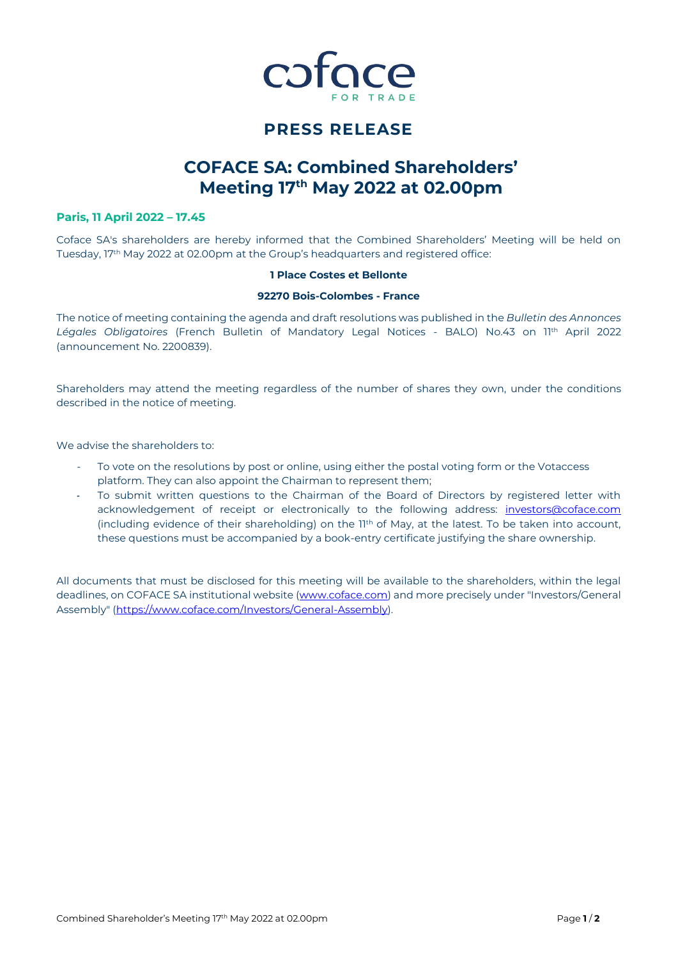

## **PRESS RELEASE**

# **COFACE SA: Combined Shareholders' Meeting 17 th May 2022 at 02.00pm**

## **Paris, 11 April 2022 – 17.45**

Coface SA's shareholders are hereby informed that the Combined Shareholders' Meeting will be held on Tuesday, 17th May 2022 at 02.00pm at the Group's headquarters and registered office:

## **1 Place Costes et Bellonte**

### **92270 Bois-Colombes - France**

The notice of meeting containing the agenda and draft resolutions was published in the *Bulletin des Annonces Légales Obligatoires* (French Bulletin of Mandatory Legal Notices - BALO) No.43 on 11th April 2022 (announcement No. 2200839).

Shareholders may attend the meeting regardless of the number of shares they own, under the conditions described in the notice of meeting.

We advise the shareholders to:

- To vote on the resolutions by post or online, using either the postal voting form or the Votaccess platform. They can also appoint the Chairman to represent them;
- To submit written questions to the Chairman of the Board of Directors by registered letter with acknowledgement of receipt or electronically to the following address: [investors@coface.com](mailto:investors@coface.com) (including evidence of their shareholding) on the 11th of May, at the latest. To be taken into account, these questions must be accompanied by a book-entry certificate justifying the share ownership.

All documents that must be disclosed for this meeting will be available to the shareholders, within the legal deadlines, on COFACE SA institutional website [\(www.coface.com\)](http://www.coface.com/) and more precisely under "Investors/General Assembly" [\(https://www.coface.com/Investors/General-Assembly\)](https://www.coface.com/Investors/General-Assembly).